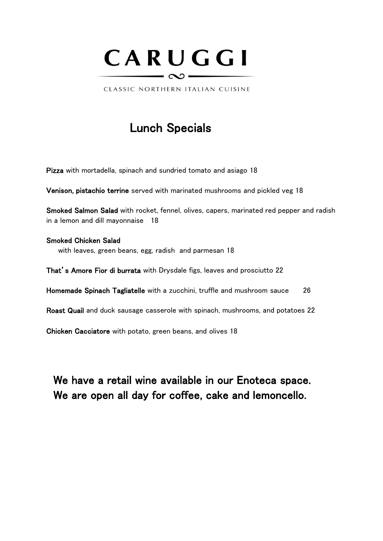

CLASSIC NORTHERN ITALIAN CUISINE

### Lunch Specials

Pizza with mortadella, spinach and sundried tomato and asiago 18

Venison, pistachio terrine served with marinated mushrooms and pickled veg 18

Smoked Salmon Salad with rocket, fennel, olives, capers, marinated red pepper and radish in a lemon and dill mayonnaise 18

Smoked Chicken Salad with leaves, green beans, egg, radish and parmesan 18

That's Amore Fior di burrata with Drysdale figs, leaves and prosciutto 22

Homemade Spinach Tagliatelle with a zucchini, truffle and mushroom sauce 26

Roast Quail and duck sausage casserole with spinach, mushrooms, and potatoes 22

Chicken Cacciatore with potato, green beans, and olives 18

We have a retail wine available in our Enoteca space. We are open all day for coffee, cake and lemoncello.